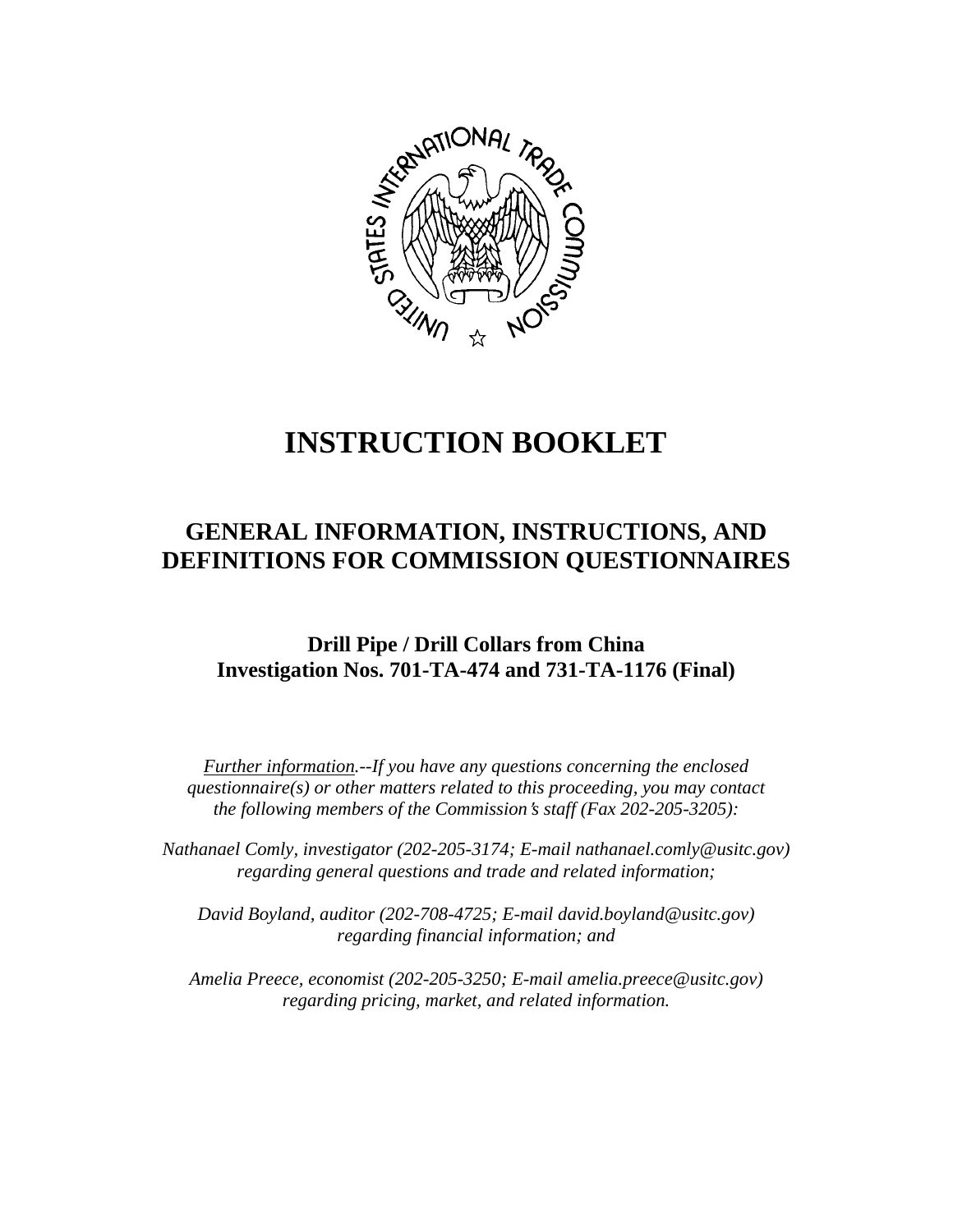

# **INSTRUCTION BOOKLET**

## **GENERAL INFORMATION, INSTRUCTIONS, AND DEFINITIONS FOR COMMISSION QUESTIONNAIRES**

### **Drill Pipe / Drill Collars from China Investigation Nos. 701-TA-474 and 731-TA-1176 (Final)**

*Further information.--If you have any questions concerning the enclosed questionnaire(s) or other matters related to this proceeding, you may contact the following members of the Commission's staff (Fax 202-205-3205):* 

 *Nathanael Comly, investigator (202-205-3174; E-mail nathanael.comly@usitc.gov) regarding general questions and trade and related information;* 

 *David Boyland, auditor (202-708-4725; E-mail david.boyland@usitc.gov) regarding financial information; and* 

 *Amelia Preece, economist (202-205-3250; E-mail amelia.preece@usitc.gov) regarding pricing, market, and related information.*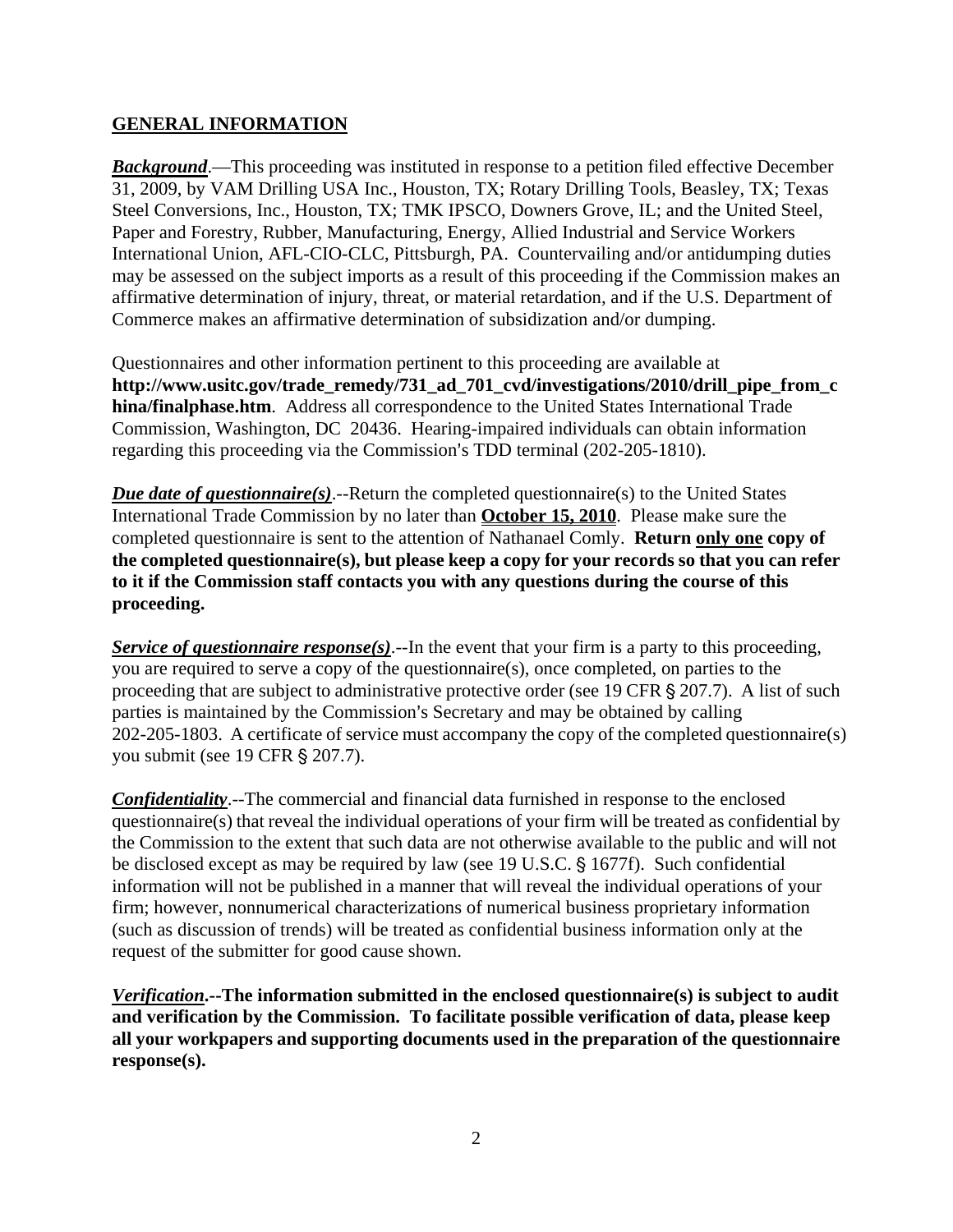#### **GENERAL INFORMATION**

*Background*.—This proceeding was instituted in response to a petition filed effective December 31, 2009, by VAM Drilling USA Inc., Houston, TX; Rotary Drilling Tools, Beasley, TX; Texas Steel Conversions, Inc., Houston, TX; TMK IPSCO, Downers Grove, IL; and the United Steel, Paper and Forestry, Rubber, Manufacturing, Energy, Allied Industrial and Service Workers International Union, AFL-CIO-CLC, Pittsburgh, PA. Countervailing and/or antidumping duties may be assessed on the subject imports as a result of this proceeding if the Commission makes an affirmative determination of injury, threat, or material retardation, and if the U.S. Department of Commerce makes an affirmative determination of subsidization and/or dumping.

Questionnaires and other information pertinent to this proceeding are available at **http://www.usitc.gov/trade\_remedy/731\_ad\_701\_cvd/investigations/2010/drill\_pipe\_from\_c hina/finalphase.htm**. Address all correspondence to the United States International Trade Commission, Washington, DC 20436. Hearing-impaired individuals can obtain information regarding this proceeding via the Commission's TDD terminal (202-205-1810).

*Due date of questionnaire(s)*.--Return the completed questionnaire(s) to the United States International Trade Commission by no later than **October 15, 2010**. Please make sure the completed questionnaire is sent to the attention of Nathanael Comly. **Return only one copy of the completed questionnaire(s), but please keep a copy for your records so that you can refer to it if the Commission staff contacts you with any questions during the course of this proceeding.**

*Service of questionnaire response(s)*.--In the event that your firm is a party to this proceeding, you are required to serve a copy of the questionnaire(s), once completed, on parties to the proceeding that are subject to administrative protective order (see 19 CFR  $\S 207.7$ ). A list of such parties is maintained by the Commission's Secretary and may be obtained by calling 202-205-1803. A certificate of service must accompany the copy of the completed questionnaire(s) you submit (see 19 CFR § 207.7).

*Confidentiality*.--The commercial and financial data furnished in response to the enclosed questionnaire(s) that reveal the individual operations of your firm will be treated as confidential by the Commission to the extent that such data are not otherwise available to the public and will not be disclosed except as may be required by law (see 19 U.S.C. § 1677f). Such confidential information will not be published in a manner that will reveal the individual operations of your firm; however, nonnumerical characterizations of numerical business proprietary information (such as discussion of trends) will be treated as confidential business information only at the request of the submitter for good cause shown.

*Verification***.--The information submitted in the enclosed questionnaire(s) is subject to audit and verification by the Commission. To facilitate possible verification of data, please keep all your workpapers and supporting documents used in the preparation of the questionnaire response(s).**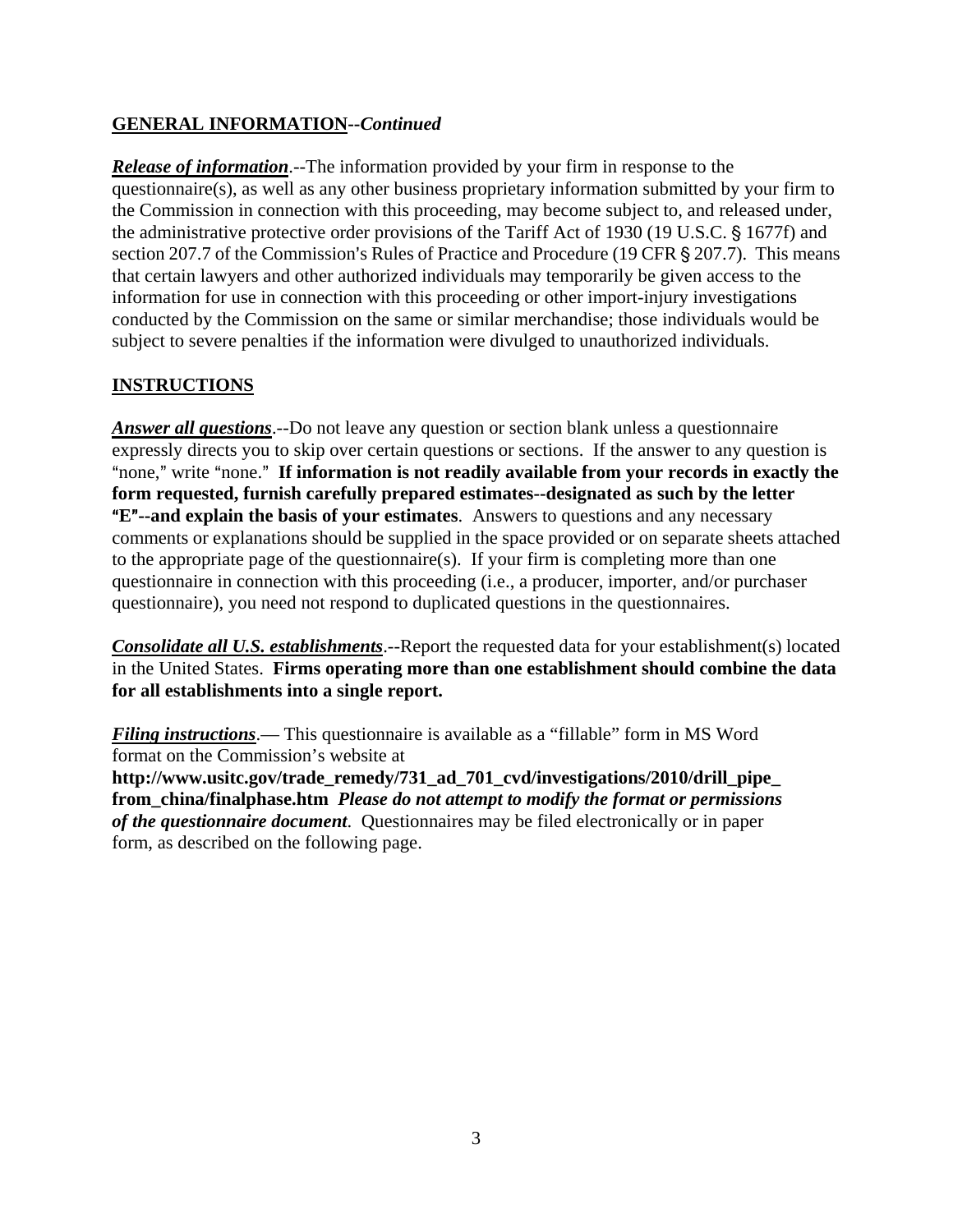#### **GENERAL INFORMATION--***Continued*

*Release of information*.--The information provided by your firm in response to the questionnaire(s), as well as any other business proprietary information submitted by your firm to the Commission in connection with this proceeding, may become subject to, and released under, the administrative protective order provisions of the Tariff Act of 1930 (19 U.S.C. § 1677f) and section 207.7 of the Commission's Rules of Practice and Procedure (19 CFR  $\S$  207.7). This means that certain lawyers and other authorized individuals may temporarily be given access to the information for use in connection with this proceeding or other import-injury investigations conducted by the Commission on the same or similar merchandise; those individuals would be subject to severe penalties if the information were divulged to unauthorized individuals.

#### **INSTRUCTIONS**

*Answer all questions*.--Do not leave any question or section blank unless a questionnaire expressly directs you to skip over certain questions or sections. If the answer to any question is "none," write "none." If information is not readily available from your records in exactly the **form requested, furnish carefully prepared estimates--designated as such by the letter E<sup>"</sup>--and explain the basis of your estimates**. Answers to questions and any necessary comments or explanations should be supplied in the space provided or on separate sheets attached to the appropriate page of the questionnaire(s). If your firm is completing more than one questionnaire in connection with this proceeding (i.e., a producer, importer, and/or purchaser questionnaire), you need not respond to duplicated questions in the questionnaires.

*Consolidate all U.S. establishments*.--Report the requested data for your establishment(s) located in the United States. **Firms operating more than one establishment should combine the data for all establishments into a single report.**

*Filing instructions*.— This questionnaire is available as a "fillable" form in MS Word format on the Commission's website at **http://www.usitc.gov/trade\_remedy/731\_ad\_701\_cvd/investigations/2010/drill\_pipe\_ from\_china/finalphase.htm** *Please do not attempt to modify the format or permissions of the questionnaire document*. Questionnaires may be filed electronically or in paper form, as described on the following page.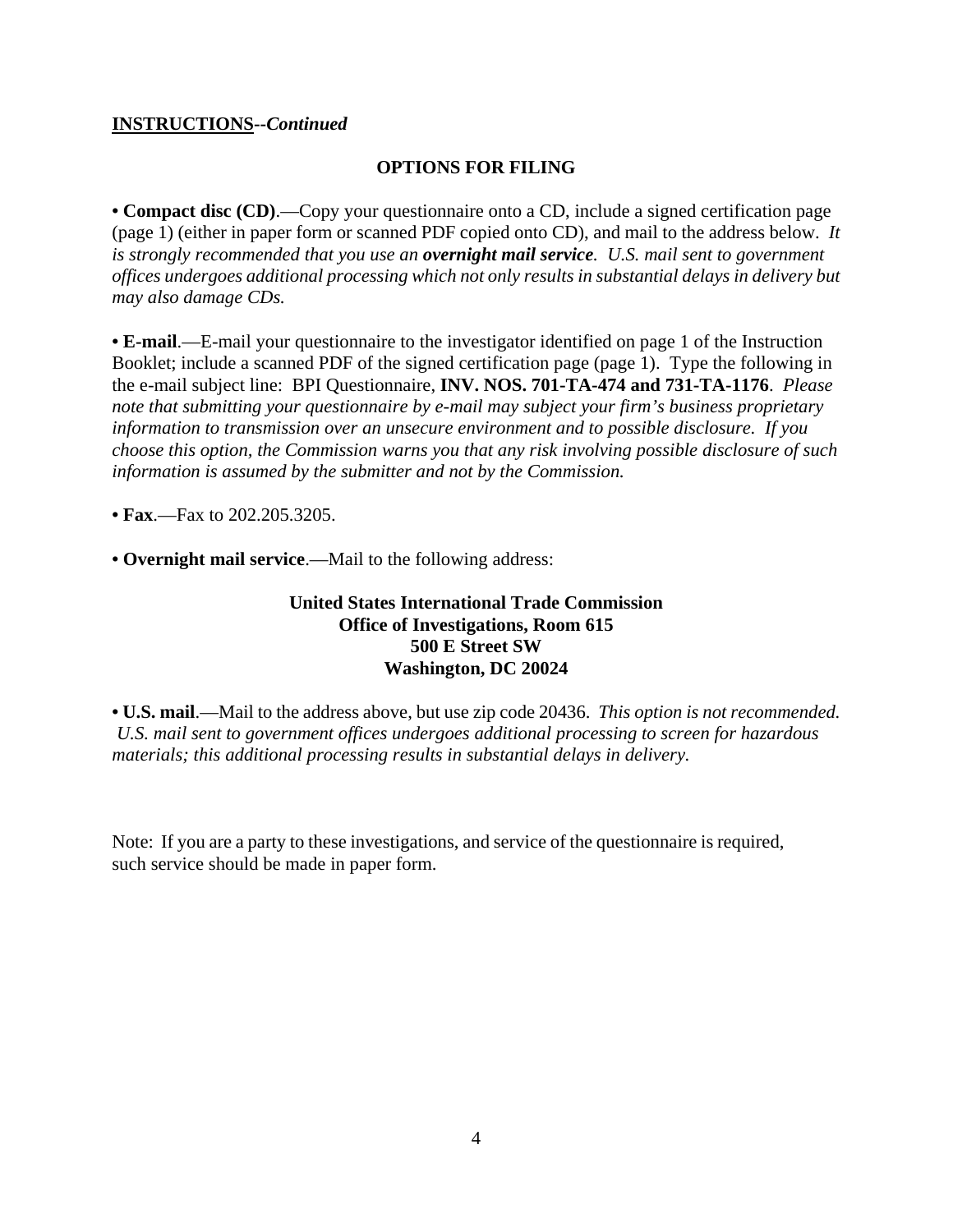#### **INSTRUCTIONS--***Continued*

#### **OPTIONS FOR FILING**

**• Compact disc (CD)**.—Copy your questionnaire onto a CD, include a signed certification page (page 1) (either in paper form or scanned PDF copied onto CD), and mail to the address below. *It is strongly recommended that you use an overnight mail service. U.S. mail sent to government offices undergoes additional processing which not only results in substantial delays in delivery but may also damage CDs.* 

**• E-mail**.—E-mail your questionnaire to the investigator identified on page 1 of the Instruction Booklet; include a scanned PDF of the signed certification page (page 1). Type the following in the e-mail subject line: BPI Questionnaire, **INV. NOS. 701-TA-474 and 731-TA-1176**. *Please note that submitting your questionnaire by e-mail may subject your firm's business proprietary information to transmission over an unsecure environment and to possible disclosure. If you choose this option, the Commission warns you that any risk involving possible disclosure of such information is assumed by the submitter and not by the Commission.* 

**• Fax**.—Fax to 202.205.3205.

**• Overnight mail service**.—Mail to the following address:

#### **United States International Trade Commission Office of Investigations, Room 615 500 E Street SW Washington, DC 20024**

**• U.S. mail**.—Mail to the address above, but use zip code 20436. *This option is not recommended. U.S. mail sent to government offices undergoes additional processing to screen for hazardous materials; this additional processing results in substantial delays in delivery.* 

Note: If you are a party to these investigations, and service of the questionnaire is required, such service should be made in paper form.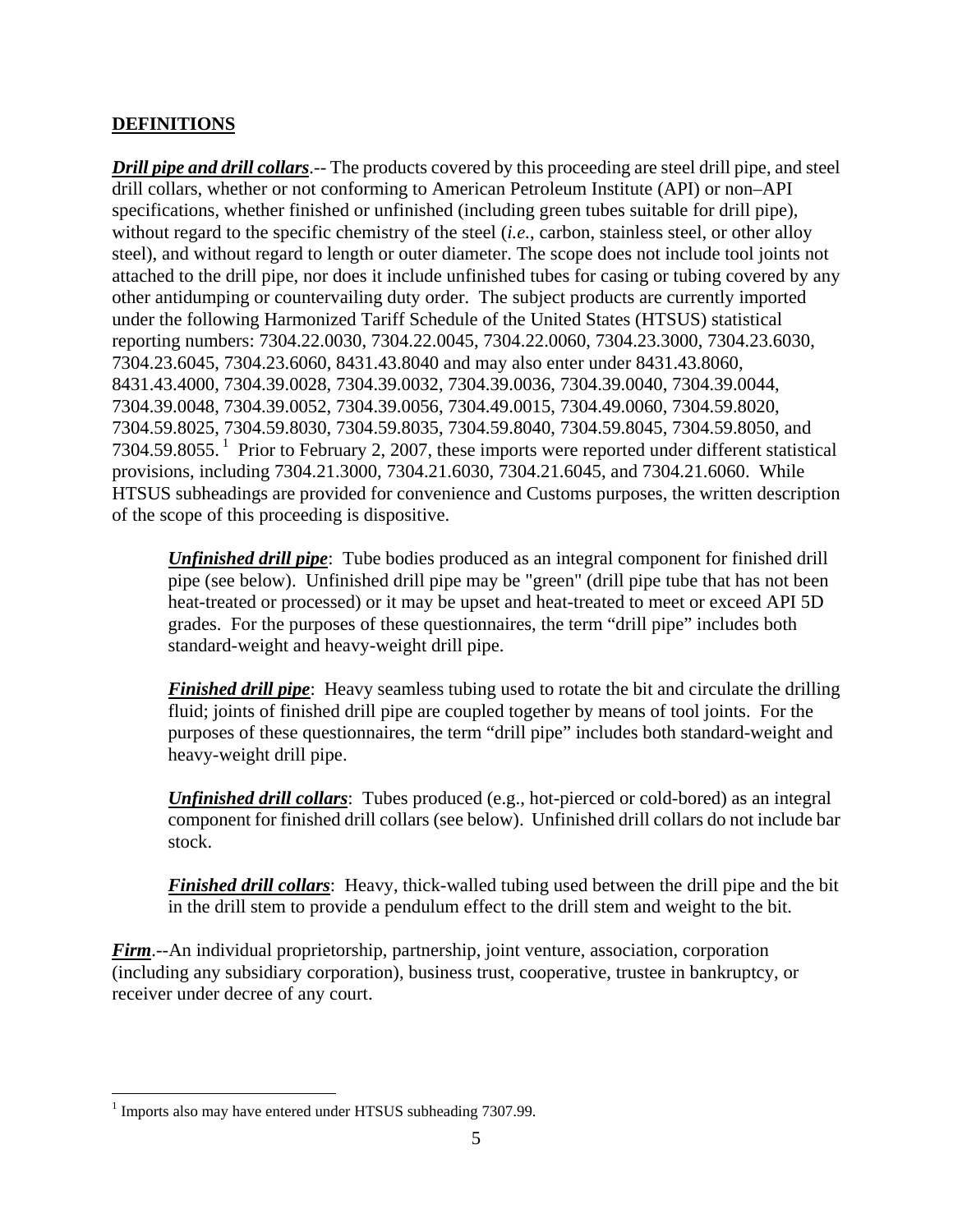#### **DEFINITIONS**

*Drill pipe and drill collars*.-- The products covered by this proceeding are steel drill pipe, and steel drill collars, whether or not conforming to American Petroleum Institute (API) or non–API specifications, whether finished or unfinished (including green tubes suitable for drill pipe), without regard to the specific chemistry of the steel (*i.e.*, carbon, stainless steel, or other alloy steel), and without regard to length or outer diameter. The scope does not include tool joints not attached to the drill pipe, nor does it include unfinished tubes for casing or tubing covered by any other antidumping or countervailing duty order. The subject products are currently imported under the following Harmonized Tariff Schedule of the United States (HTSUS) statistical reporting numbers: 7304.22.0030, 7304.22.0045, 7304.22.0060, 7304.23.3000, 7304.23.6030, 7304.23.6045, 7304.23.6060, 8431.43.8040 and may also enter under 8431.43.8060, 8431.43.4000, 7304.39.0028, 7304.39.0032, 7304.39.0036, 7304.39.0040, 7304.39.0044, 7304.39.0048, 7304.39.0052, 7304.39.0056, 7304.49.0015, 7304.49.0060, 7304.59.8020, 7304.59.8025, 7304.59.8030, 7304.59.8035, 7304.59.8040, 7304.59.8045, 7304.59.8050, and 7304.59.8055. 1 Prior to February 2, 2007, these imports were reported under different statistical provisions, including 7304.21.3000, 7304.21.6030, 7304.21.6045, and 7304.21.6060. While HTSUS subheadings are provided for convenience and Customs purposes, the written description of the scope of this proceeding is dispositive.

*Unfinished drill pipe*: Tube bodies produced as an integral component for finished drill pipe (see below). Unfinished drill pipe may be "green" (drill pipe tube that has not been heat-treated or processed) or it may be upset and heat-treated to meet or exceed API 5D grades. For the purposes of these questionnaires, the term "drill pipe" includes both standard-weight and heavy-weight drill pipe.

*Finished drill pipe*: Heavy seamless tubing used to rotate the bit and circulate the drilling fluid; joints of finished drill pipe are coupled together by means of tool joints. For the purposes of these questionnaires, the term "drill pipe" includes both standard-weight and heavy-weight drill pipe.

*Unfinished drill collars*: Tubes produced (e.g., hot-pierced or cold-bored) as an integral component for finished drill collars (see below). Unfinished drill collars do not include bar stock.

*Finished drill collars*: Heavy, thick-walled tubing used between the drill pipe and the bit in the drill stem to provide a pendulum effect to the drill stem and weight to the bit.

*Firm*.--An individual proprietorship, partnership, joint venture, association, corporation (including any subsidiary corporation), business trust, cooperative, trustee in bankruptcy, or receiver under decree of any court.

<sup>&</sup>lt;u>.</u> <sup>1</sup> Imports also may have entered under HTSUS subheading 7307.99.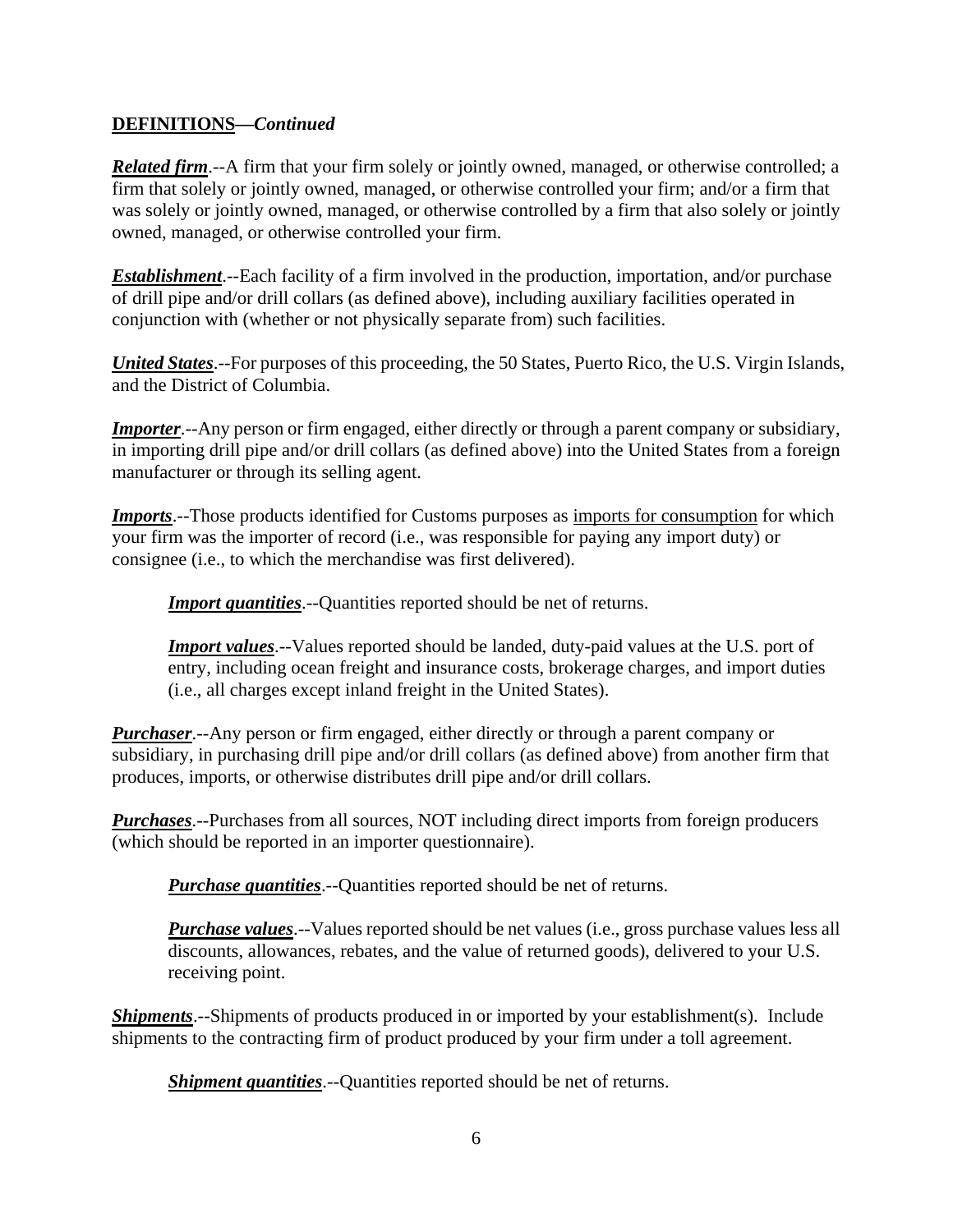#### **DEFINITIONS—***Continued*

*Related firm*.--A firm that your firm solely or jointly owned, managed, or otherwise controlled; a firm that solely or jointly owned, managed, or otherwise controlled your firm; and/or a firm that was solely or jointly owned, managed, or otherwise controlled by a firm that also solely or jointly owned, managed, or otherwise controlled your firm.

*Establishment*.--Each facility of a firm involved in the production, importation, and/or purchase of drill pipe and/or drill collars (as defined above), including auxiliary facilities operated in conjunction with (whether or not physically separate from) such facilities.

*United States*.--For purposes of this proceeding, the 50 States, Puerto Rico, the U.S. Virgin Islands, and the District of Columbia.

*Importer*.--Any person or firm engaged, either directly or through a parent company or subsidiary, in importing drill pipe and/or drill collars (as defined above) into the United States from a foreign manufacturer or through its selling agent.

*Imports*.--Those products identified for Customs purposes as imports for consumption for which your firm was the importer of record (i.e., was responsible for paying any import duty) or consignee (i.e., to which the merchandise was first delivered).

**Import quantities**.--Quantities reported should be net of returns.

*Import values*.--Values reported should be landed, duty-paid values at the U.S. port of entry, including ocean freight and insurance costs, brokerage charges, and import duties (i.e., all charges except inland freight in the United States).

*Purchaser*.--Any person or firm engaged, either directly or through a parent company or subsidiary, in purchasing drill pipe and/or drill collars (as defined above) from another firm that produces, imports, or otherwise distributes drill pipe and/or drill collars.

*Purchases*.--Purchases from all sources, NOT including direct imports from foreign producers (which should be reported in an importer questionnaire).

*Purchase quantities*.--Quantities reported should be net of returns.

*Purchase values*.--Values reported should be net values (i.e., gross purchase values less all discounts, allowances, rebates, and the value of returned goods), delivered to your U.S. receiving point.

*Shipments*.--Shipments of products produced in or imported by your establishment(s). Include shipments to the contracting firm of product produced by your firm under a toll agreement.

*Shipment quantities*.--Quantities reported should be net of returns.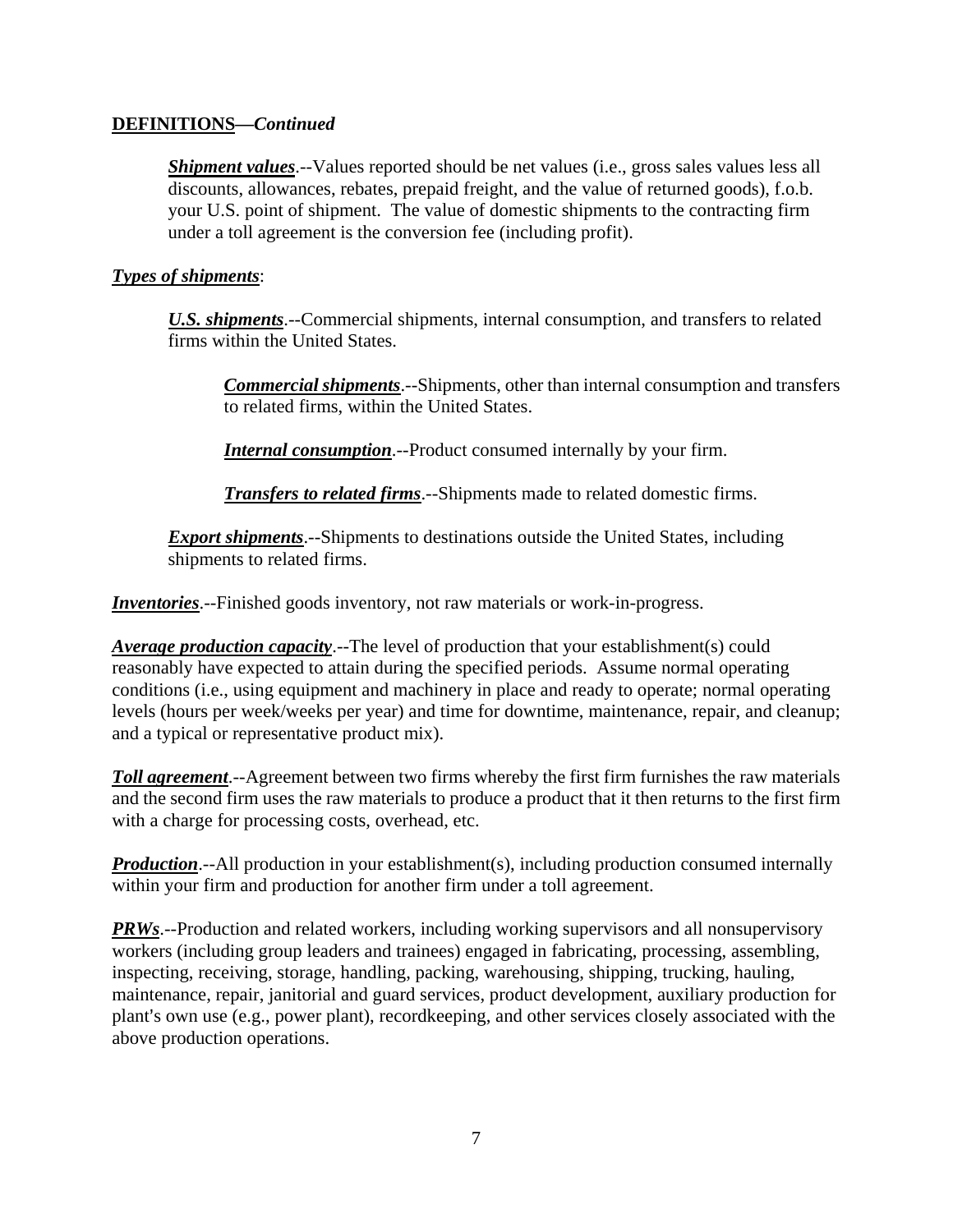#### **DEFINITIONS—***Continued*

*Shipment values*.--Values reported should be net values (i.e., gross sales values less all discounts, allowances, rebates, prepaid freight, and the value of returned goods), f.o.b. your U.S. point of shipment. The value of domestic shipments to the contracting firm under a toll agreement is the conversion fee (including profit).

#### *Types of shipments*:

*U.S. shipments*.--Commercial shipments, internal consumption, and transfers to related firms within the United States.

*Commercial shipments*.--Shipments, other than internal consumption and transfers to related firms, within the United States.

*Internal consumption*.--Product consumed internally by your firm.

*Transfers to related firms*.--Shipments made to related domestic firms.

*Export shipments*.--Shipments to destinations outside the United States, including shipments to related firms.

*Inventories*.--Finished goods inventory, not raw materials or work-in-progress.

*Average production capacity*.--The level of production that your establishment(s) could reasonably have expected to attain during the specified periods. Assume normal operating conditions (i.e., using equipment and machinery in place and ready to operate; normal operating levels (hours per week/weeks per year) and time for downtime, maintenance, repair, and cleanup; and a typical or representative product mix).

*Toll agreement*.--Agreement between two firms whereby the first firm furnishes the raw materials and the second firm uses the raw materials to produce a product that it then returns to the first firm with a charge for processing costs, overhead, etc.

**Production**.--All production in your establishment(s), including production consumed internally within your firm and production for another firm under a toll agreement.

**PRWs**.--Production and related workers, including working supervisors and all nonsupervisory workers (including group leaders and trainees) engaged in fabricating, processing, assembling, inspecting, receiving, storage, handling, packing, warehousing, shipping, trucking, hauling, maintenance, repair, janitorial and guard services, product development, auxiliary production for plant's own use (e.g., power plant), recordkeeping, and other services closely associated with the above production operations.